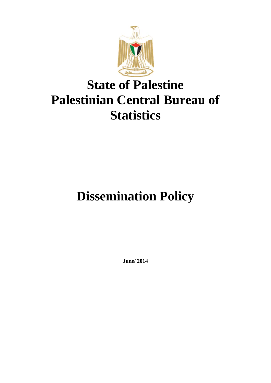

## **State of Palestine Palestinian Central Bureau of Statistics**

# **Dissemination Policy**

**June/ 2014**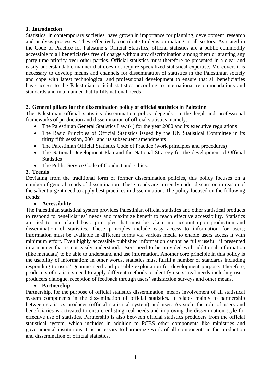### **1. Introduction**

Statistics, in contemporary societies, have grown in importance for planning, development, research and analysis processes. They effectively contribute to decision-making in all sectors. As stated in the Code of Practice for Palestine's Official Statistics, official statistics are a public commodity accessible to all beneficiaries free of charge without any discrimination among them or granting any party time priority over other parties. Official statistics must therefore be presented in a clear and easily understandable manner that does not require specialized statistical expertise. Moreover, it is necessary to develop means and channels for dissemination of statistics in the Palestinian society and cope with latest technological and professional development to ensure that all beneficiaries have access to the Palestinian official statistics according to international recommendations and standards and in a manner that fulfills national needs.

## **2. General pillars for the dissemination policy of official statistics in Palestine**

The Palestinian official statistics dissemination policy depends on the legal and professional frameworks of production and dissemination of official statistics, namely:

- The Palestinian General Statistics Law (4) for the year 2000 and its executive regulations
- The Basic Principles of Official Statistics issued by the UN Statistical Committee in its thirty fifth session, 2004 and its subsequent amendments
- The Palestinian Official Statistics Code of Practice (work principles and procedures)
- The National Development Plan and the National Strategy for the development of Official **Statistics**
- The Public Service Code of Conduct and Ethics.

#### **3. Trends**

Deviating from the traditional form of former dissemination policies, this policy focuses on a number of general trends of dissemination. These trends are currently under discussion in reason of the salient urgent need to apply best practices in dissemination. The policy focused on the following trends:

#### **Accessibility**

The Palestinian statistical system provides Palestinian official statistics and other statistical products to respond to beneficiaries' needs and maximize benefit to reach effective accessibility. Statistics are tied to interrelated basic principles that must be taken into account upon production and dissemination of statistics. These principles include easy access to information for users; information must be available in different forms via various media to enable users access it with minimum effort. Even highly accessible published information cannot be fully useful if presented in a manner that is not easily understood. Users need to be provided with additional information (like metadata) to be able to understand and use information. Another core principle in this policy is the usability of information; in other words, statistics must fulfill a number of standards including responding to users' genuine need and possible exploitation for development purpose. Therefore, producers of statistics need to apply different methods to identify users' real needs including userproducers dialogue, reception of feedback through users' satisfaction surveys and other means.

#### **Partnership**

.

Partnership, for the purpose of official statistics dissemination, means involvement of all statistical system components in the dissemination of official statistics. It relates mainly to partnership between statistics producer (official statistical system) and user. As such, the role of users and beneficiaries is activated to ensure enlisting real needs and improving the dissemination style for effective use of statistics. Partnership is also between official statistics producers from the official statistical system, which includes in addition to PCBS other components like ministries and governmental institutions. It is necessary to harmonize work of all components in the production and dissemination of official statistics.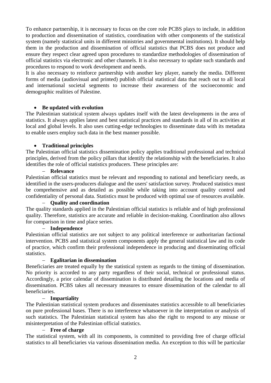To enhance partnership, it is necessary to focus on the core role PCBS plays to include, in addition to production and dissemination of statistics, coordination with other components of the statistical system (namely statistical units in different ministries and governmental institutions). It should help them in the production and dissemination of official statistics that PCBS does not produce and ensure they respect clear agreed upon procedures to standardize methodologies of dissemination of official statistics via electronic and other channels. It is also necessary to update such standards and procedures to respond to work development and needs.

It is also necessary to reinforce partnership with another key player, namely the media. Different forms of media (audiovisual and printed) publish official statistical data that reach out to all local and international societal segments to increase their awareness of the socioeconomic and demographic realities of Palestine.

## **Be updated with evolution**

The Palestinian statistical system always updates itself with the latest developments in the area of statistics. It always applies latest and best statistical practices and standards in all of its activities at local and global levels. It also uses cutting-edge technologies to disseminate data with its metadata to enable users employ such data in the best manner possible.

#### **Traditional principles**

The Palestinian official statistics dissemination policy applies traditional professional and technical principles, derived from the policy pillars that identify the relationship with the beneficiaries. It also identifies the role of official statistics producers. These principles are:

#### **Relevance**

Palestinian official statistics must be relevant and responding to national and beneficiary needs, as identified in the users-producers dialogue and the users' satisfaction survey. Produced statistics must be comprehensive and as detailed as possible while taking into account quality control and confidentiality of personal data. Statistics must be produced with optimal use of resources available.

#### **Quality and coordination**

The quality standards applied in the Palestinian official statistics is reliable and of high professional quality. Therefore, statistics are accurate and reliable in decision-making. Coordination also allows for comparison in time and place series.

#### **Independence**

Palestinian official statistics are not subject to any political interference or authoritarian factional intervention. PCBS and statistical system components apply the general statistical law and its code of practice, which confirm their professional independence in producing and disseminating official statistics.

#### **Egalitarian in dissemination**

Beneficiaries are treated equally by the statistical system as regards to the timing of dissemination. No priority is accorded to any party regardless of their social, technical or professional status. Accordingly, a prior calendar of dissemination is distributed detailing the locations and media of dissemination. PCBS takes all necessary measures to ensure dissemination of the calendar to all beneficiaries.

#### **Impartiality**

The Palestinian statistical system produces and disseminates statistics accessible to all beneficiaries on pure professional bases. There is no interference whatsoever in the interpretation or analysis of such statistics. The Palestinian statistical system has also the right to respond to any misuse or misinterpretation of the Palestinian official statistics.

#### **Free of charge**

The statistical system, with all its components, is committed to providing free of charge official statistics to all beneficiaries via various dissemination media. An exception to this will be particular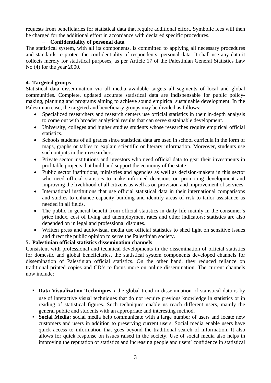requests from beneficiaries for statistical data that require additional effort. Symbolic fees will then be charged for the additional effort in accordance with declared specific procedures.

## **Confidentiality of personal data**

The statistical system, with all its components, is committed to applying all necessary procedures and standards to protect the confidentiality of respondents' personal data. It shall use any data it collects merely for statistical purposes, as per Article 17 of the Palestinian General Statistics Law No (4) for the year 2000.

## **4. Targeted groups**

Statistical data dissemination via all media available targets all segments of local and global communities. Complete, updated accurate statistical data are indispensable for public policymaking, planning and programs aiming to achieve sound empirical sustainable development. In the Palestinian case, the targeted and beneficiary groups may be divided as follows:

- Specialized researchers and research centers use official statistics in their in-depth analysis to come out with broader analytical results that can serve sustainable development.
- University, colleges and higher studies students whose researches require empirical official statistics.
- Schools students of all grades since statistical data are used in school curricula in the form of maps, graphs or tables to explain scientific or literary information. Moreover, students use such outputs in their researchers.
- Private sector institutions and investors who need official data to gear their investments in profitable projects that build and support the economy of the state
- Public sector institutions, ministries and agencies as well as decision-makers in this sector who need official statistics to make informed decisions on promoting development and improving the livelihood of all citizens as well as on provision and improvement of services.
- International institutions that use official statistical data in their international comparisons and studies to enhance capacity building and identify areas of risk to tailor assistance as needed in all fields.
- The public in general benefit from official statistics in daily life mainly in the consumer's price index, cost of living and unemployment rates and other indicators; statistics are also depended on in legal and professional disputes.
- Written press and audiovisual media use official statistics to shed light on sensitive issues and direct the public opinion to serve the Palestinian society.

## **5. Palestinian official statistics dissemination channels**

Consistent with professional and technical developments in the dissemination of official statistics for domestic and global beneficiaries, the statistical system components developed channels for dissemination of Palestinian official statistics. On the other hand, they reduced reliance on traditional printed copies and CD's to focus more on online dissemination. The current channels now include:

- **Data Visualization Techniques** : the global trend in dissemination of statistical data is by use of interactive visual techniques that do not require previous knowledge in statistics or in reading of statistical figures. Such techniques enable us reach different users, mainly the general public and students with an appropriate and interesting method.
- **Social Media:** social media help communicate with a large number of users and locate new customers and users in addition to preserving current users. Social media enable users have quick access to information that goes beyond the traditional search of information. It also allows for quick response on issues raised in the society. Use of social media also helps in improving the reputation of statistics and increasing people and users' confidence in statistical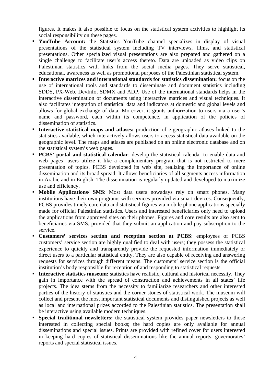figures. It makes it also possible to focus on the statistical system activities to highlight its social responsibility on these pages.

- **YouTube Account:** the Statistics YouTube channel specializes in display of visual presentations of the statistical system including TV interviews, films, and statistical presentations. Other specialized visual presentations are also prepared and gathered on a single challenge to facilitate user's access thereto. Data are uploaded as video clips on Palestinian statistics with links from the social media pages. They serve statistical, educational, awareness as well as promotional purposes of the Palestinian statistical system.
- **Interactive matrices and international standards for statistics dissemination:** focus on the use of international tools and standards to disseminate and document statistics including SDDS, PX-Web, DevInfo, SDMX and ADP. Use of the international standards helps in the interactive dissemination of documents using interactive matrices and visual techniques. It also facilitates integration of statistical data and indicators at domestic and global levels and allows for global exchange of data. Moreover, it grants authorization to users via a user's name and password, each within its competence, in application of the policies of dissemination of statistics.
- **Interactive statistical maps and atlases:** production of e-geographic atlases linked to the statistics available, which interactively allows users to access statistical data available on the geographic level. The maps and atlases are published on an online electronic database and on the statistical system's web pages.
- **PCBS' portal and statistical calendar:** develop the statistical calendar to enable data and web pages' users utilize it like a complementary program that is not restricted to mere presentation of topics. PCBS developed its web site, realizing the importance of online dissemination and its broad spread. It allows beneficiaries of all segments access information in Arabic and in English. The dissemination is regularly updated and developed to maximize use and efficiency.
- **Mobile Applications/ SMS:** Most data users nowadays rely on smart phones. Many institutions have their own programs with services provided via smart devices. Consequently, PCBS provides timely core data and statistical figures via mobile phone applications specially made for official Palestinian statistics. Users and interested beneficiaries only need to upload the applications from approved sites on their phones. Figures and core results are also sent to beneficiaries via SMS, provided that they submit an application and pay subscription to the service.
- **Customers' services section and reception section at PCBS**: employees of PCBS customers' service section are highly qualified to deal with users; they possess the statistical experience to quickly and transparently provide the requested information immediately or direct users to a particular statistical entity. They are also capable of receiving and answering requests for services through different means. The customers' service section is the official institution's body responsible for reception of and responding to statistical requests.
- **Interactive statistics museum:** statistics have realistic, cultural and historical necessity. They gain in importance with the spread of construction and achievements in all states' life projects. The idea stems from the necessity to familiarize researchers and other interested parties of the history of statistics and the corner stones of statistical work. The museum will collect and present the most important statistical documents and distinguished projects as well as local and international prizes accorded to the Palestinian statistics. The presentation shall be interactive using available modern techniques.
- **Special traditional newsletters:** the statistical system provides paper newsletters to those interested in collecting special books; the hard copies are only available for annual disseminations and special issues. Prints are provided with refined cover for users interested in keeping hard copies of statistical disseminations like the annual reports, governorates' reports and special statistical issues.